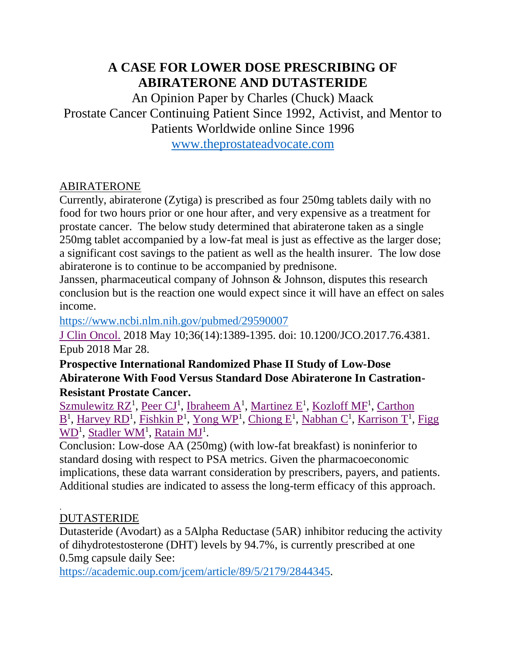## **A CASE FOR LOWER DOSE PRESCRIBING OF ABIRATERONE AND DUTASTERIDE**

An Opinion Paper by Charles (Chuck) Maack Prostate Cancer Continuing Patient Since 1992, Activist, and Mentor to Patients Worldwide online Since 1996

[www.theprostateadvocate.com](http://www.theprostateadvocate.com/)

## ABIRATERONE

Currently, abiraterone (Zytiga) is prescribed as four 250mg tablets daily with no food for two hours prior or one hour after, and very expensive as a treatment for prostate cancer. The below study determined that abiraterone taken as a single 250mg tablet accompanied by a low-fat meal is just as effective as the larger dose; a significant cost savings to the patient as well as the health insurer. The low dose abiraterone is to continue to be accompanied by prednisone.

Janssen, pharmaceutical company of Johnson & Johnson, disputes this research conclusion but is the reaction one would expect since it will have an effect on sales income.

<https://www.ncbi.nlm.nih.gov/pubmed/29590007>

[J Clin Oncol.](https://www.ncbi.nlm.nih.gov/pubmed/29590007) 2018 May 10;36(14):1389-1395. doi: 10.1200/JCO.2017.76.4381. Epub 2018 Mar 28.

**Prospective International Randomized Phase II Study of Low-Dose Abiraterone With Food Versus Standard Dose Abiraterone In Castration-Resistant Prostate Cancer.**

Szmulewitz  $RZ^1$ , [Peer CJ](https://www.ncbi.nlm.nih.gov/pubmed/?term=Peer%20CJ%5BAuthor%5D&cauthor=true&cauthor_uid=29590007)<sup>1</sup>, [Ibraheem A](https://www.ncbi.nlm.nih.gov/pubmed/?term=Ibraheem%20A%5BAuthor%5D&cauthor=true&cauthor_uid=29590007)<sup>1</sup>, [Martinez E](https://www.ncbi.nlm.nih.gov/pubmed/?term=Martinez%20E%5BAuthor%5D&cauthor=true&cauthor_uid=29590007)<sup>1</sup>, [Kozloff MF](https://www.ncbi.nlm.nih.gov/pubmed/?term=Kozloff%20MF%5BAuthor%5D&cauthor=true&cauthor_uid=29590007)<sup>1</sup>, Carthon  $\underline{B}^1$  $\underline{B}^1$  $\underline{B}^1$ , [Harvey RD](https://www.ncbi.nlm.nih.gov/pubmed/?term=Harvey%20RD%5BAuthor%5D&cauthor=true&cauthor_uid=29590007)<sup>1</sup>, [Fishkin P](https://www.ncbi.nlm.nih.gov/pubmed/?term=Fishkin%20P%5BAuthor%5D&cauthor=true&cauthor_uid=29590007)<sup>1</sup>, [Yong WP](https://www.ncbi.nlm.nih.gov/pubmed/?term=Yong%20WP%5BAuthor%5D&cauthor=true&cauthor_uid=29590007)<sup>1</sup>, [Chiong E](https://www.ncbi.nlm.nih.gov/pubmed/?term=Chiong%20E%5BAuthor%5D&cauthor=true&cauthor_uid=29590007)<sup>1</sup>, [Nabhan C](https://www.ncbi.nlm.nih.gov/pubmed/?term=Nabhan%20C%5BAuthor%5D&cauthor=true&cauthor_uid=29590007)<sup>1</sup>, [Karrison T](https://www.ncbi.nlm.nih.gov/pubmed/?term=Karrison%20T%5BAuthor%5D&cauthor=true&cauthor_uid=29590007)<sup>1</sup>, Figg [WD](https://www.ncbi.nlm.nih.gov/pubmed/?term=Figg%20WD%5BAuthor%5D&cauthor=true&cauthor_uid=29590007)<sup>1</sup>, [Stadler WM](https://www.ncbi.nlm.nih.gov/pubmed/?term=Stadler%20WM%5BAuthor%5D&cauthor=true&cauthor_uid=29590007)<sup>1</sup>, [Ratain MJ](https://www.ncbi.nlm.nih.gov/pubmed/?term=Ratain%20MJ%5BAuthor%5D&cauthor=true&cauthor_uid=29590007)<sup>1</sup>.

Conclusion: Low-dose AA (250mg) (with low-fat breakfast) is noninferior to standard dosing with respect to PSA metrics. Given the pharmacoeconomic implications, these data warrant consideration by prescribers, payers, and patients. Additional studies are indicated to assess the long-term efficacy of this approach.

## . DUTASTERIDE

Dutasteride (Avodart) as a 5Alpha Reductase (5AR) inhibitor reducing the activity of dihydrotestosterone (DHT) levels by 94.7%, is currently prescribed at one 0.5mg capsule daily See:

[https://academic.oup.com/jcem/article/89/5/2179/2844345.](https://academic.oup.com/jcem/article/89/5/2179/2844345)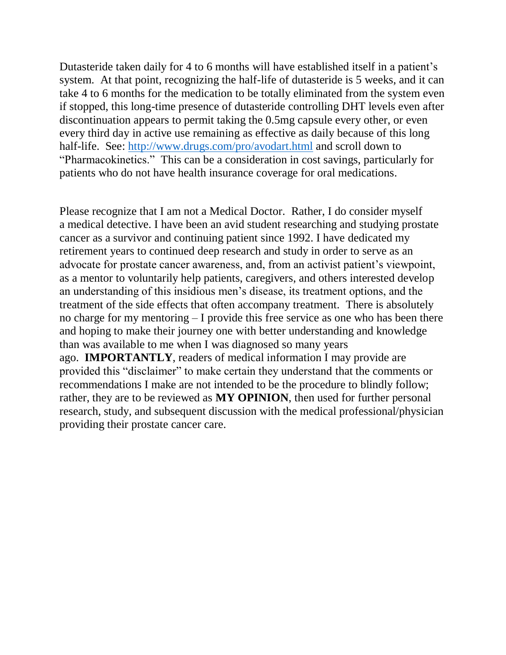Dutasteride taken daily for 4 to 6 months will have established itself in a patient's system. At that point, recognizing the half-life of dutasteride is 5 weeks, and it can take 4 to 6 months for the medication to be totally eliminated from the system even if stopped, this long-time presence of dutasteride controlling DHT levels even after discontinuation appears to permit taking the 0.5mg capsule every other, or even every third day in active use remaining as effective as daily because of this long half-life. See:<http://www.drugs.com/pro/avodart.html> and scroll down to "Pharmacokinetics." This can be a consideration in cost savings, particularly for patients who do not have health insurance coverage for oral medications.

Please recognize that I am not a Medical Doctor. Rather, I do consider myself a medical detective. I have been an avid student researching and studying prostate cancer as a survivor and continuing patient since 1992. I have dedicated my retirement years to continued deep research and study in order to serve as an advocate for prostate cancer awareness, and, from an activist patient's viewpoint, as a mentor to voluntarily help patients, caregivers, and others interested develop an understanding of this insidious men's disease, its treatment options, and the treatment of the side effects that often accompany treatment. There is absolutely no charge for my mentoring – I provide this free service as one who has been there and hoping to make their journey one with better understanding and knowledge than was available to me when I was diagnosed so many years ago. **IMPORTANTLY**, readers of medical information I may provide are provided this "disclaimer" to make certain they understand that the comments or recommendations I make are not intended to be the procedure to blindly follow; rather, they are to be reviewed as **MY OPINION**, then used for further personal research, study, and subsequent discussion with the medical professional/physician providing their prostate cancer care.